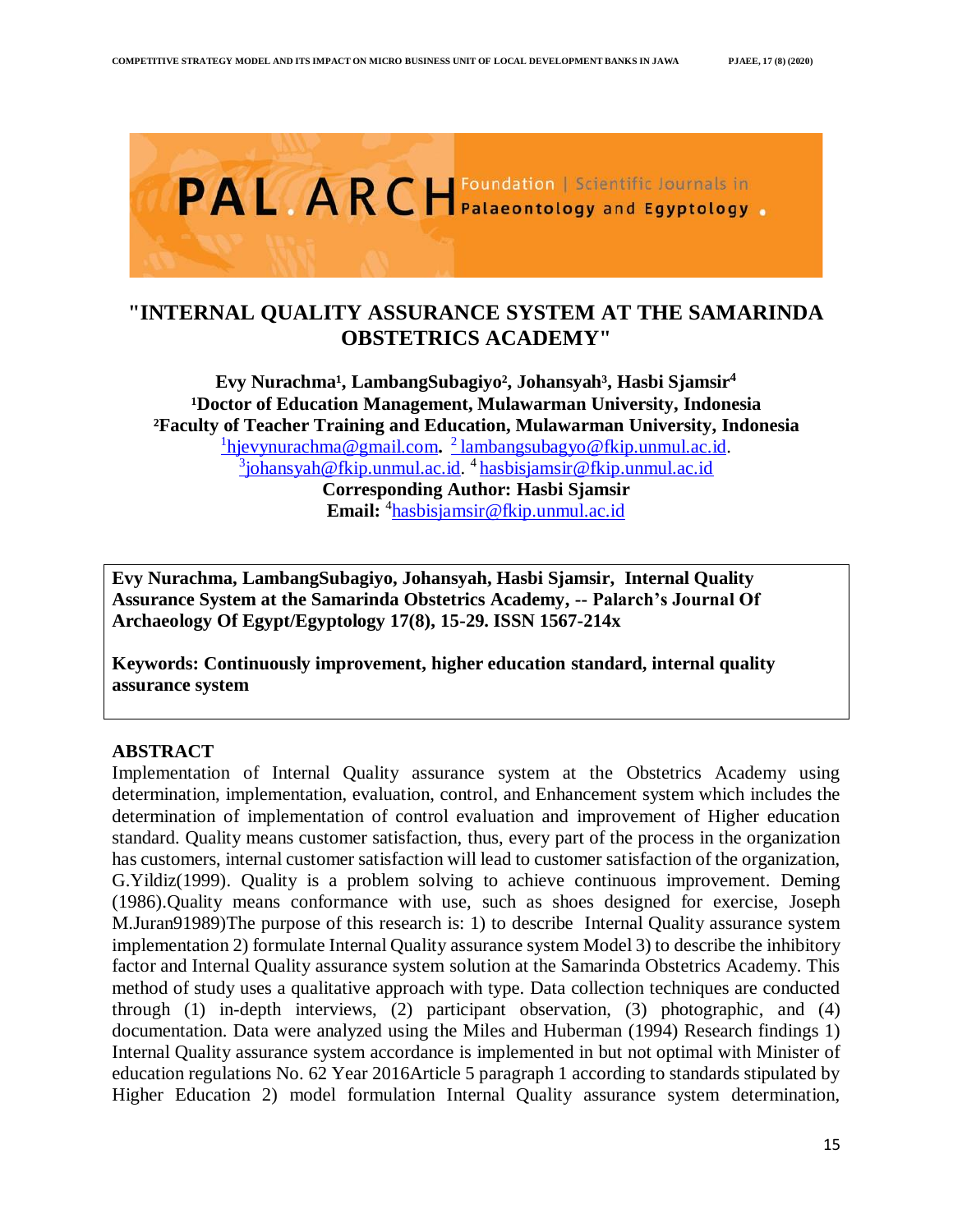

# **"INTERNAL QUALITY ASSURANCE SYSTEM AT THE SAMARINDA OBSTETRICS ACADEMY"**

Evy Nurachma<sup>1</sup>, LambangSubagiyo<sup>2</sup>, Johansyah<sup>3</sup>, Hasbi Sjamsir<sup>4</sup> **¹Doctor of Education Management, Mulawarman University, Indonesia ²Faculty of Teacher Training and Education, Mulawarman University, Indonesia** 1 [hjevynurachma@gmail.com](mailto:1hjevynurachma@gmail.com)**.**  <sup>2</sup>[lambangsubagyo@fkip.unmul.ac.id.](mailto:2%20lambangsubagyo@fkip.unmul.ac.id) 3 [johansyah@fkip.unmul.ac.id.](mailto:3johansyah@fkip.unmul.ac.id) 4 [hasbisjamsir@fkip.unmul.ac.id](mailto:hasbisjamsir@fkip.unmul.ac.id) **Corresponding Author: Hasbi Sjamsir**

**Email:** <sup>4</sup> [hasbisjamsir@fkip.unmul.ac.id](mailto:hasbisjamsir@fkip.unmul.ac.id)

**Evy Nurachma, LambangSubagiyo, Johansyah, Hasbi Sjamsir, Internal Quality Assurance System at the Samarinda Obstetrics Academy, -- Palarch's Journal Of Archaeology Of Egypt/Egyptology 17(8), 15-29. ISSN 1567-214x**

**Keywords: Continuously improvement, higher education standard, internal quality assurance system**

# **ABSTRACT**

Implementation of Internal Quality assurance system at the Obstetrics Academy using determination, implementation, evaluation, control, and Enhancement system which includes the determination of implementation of control evaluation and improvement of Higher education standard. Quality means customer satisfaction, thus, every part of the process in the organization has customers, internal customer satisfaction will lead to customer satisfaction of the organization, G.Yildiz(1999). Quality is a problem solving to achieve continuous improvement. Deming (1986).Quality means conformance with use, such as shoes designed for exercise, Joseph M.Juran91989)The purpose of this research is: 1) to describe Internal Quality assurance system implementation 2) formulate Internal Quality assurance system Model 3) to describe the inhibitory factor and Internal Quality assurance system solution at the Samarinda Obstetrics Academy. This method of study uses a qualitative approach with type. Data collection techniques are conducted through (1) in-depth interviews, (2) participant observation, (3) photographic, and (4) documentation. Data were analyzed using the Miles and Huberman (1994) Research findings 1) Internal Quality assurance system accordance is implemented in but not optimal with Minister of education regulations No. 62 Year 2016Article 5 paragraph 1 according to standards stipulated by Higher Education 2) model formulation Internal Quality assurance system determination,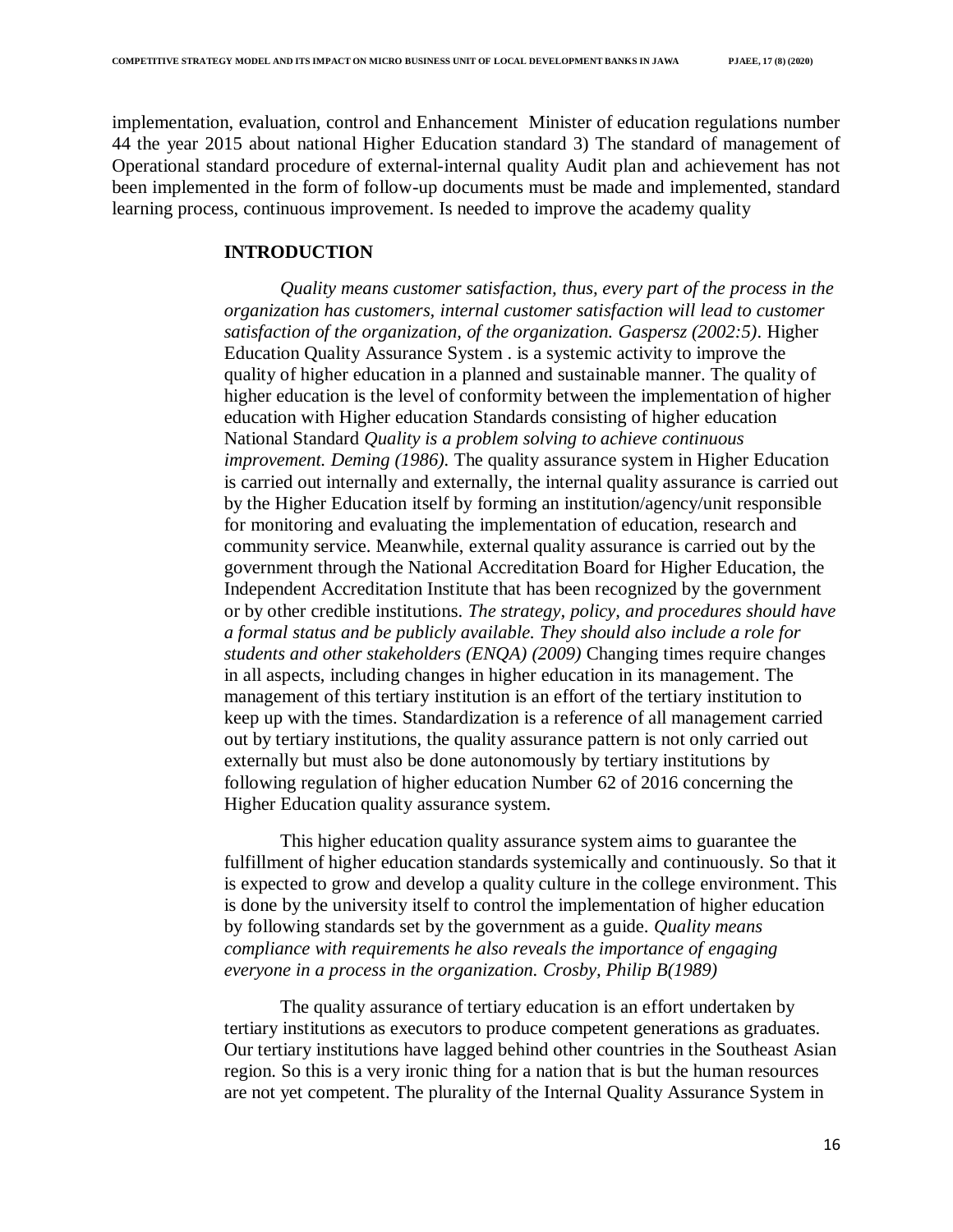implementation, evaluation, control and Enhancement Minister of education regulations number 44 the year 2015 about national Higher Education standard 3) The standard of management of Operational standard procedure of external-internal quality Audit plan and achievement has not been implemented in the form of follow-up documents must be made and implemented, standard learning process, continuous improvement. Is needed to improve the academy quality

### **INTRODUCTION**

*Quality means customer satisfaction, thus, every part of the process in the organization has customers, internal customer satisfaction will lead to customer satisfaction of the organization, of the organization. Gaspersz (2002:5)*. Higher Education Quality Assurance System . is a systemic activity to improve the quality of higher education in a planned and sustainable manner. The quality of higher education is the level of conformity between the implementation of higher education with Higher education Standards consisting of higher education National Standard *Quality is a problem solving to achieve continuous improvement. Deming (1986).* The quality assurance system in Higher Education is carried out internally and externally, the internal quality assurance is carried out by the Higher Education itself by forming an institution/agency/unit responsible for monitoring and evaluating the implementation of education, research and community service. Meanwhile, external quality assurance is carried out by the government through the National Accreditation Board for Higher Education, the Independent Accreditation Institute that has been recognized by the government or by other credible institutions. *The strategy, policy, and procedures should have a formal status and be publicly available. They should also include a role for students and other stakeholders (ENQA) (2009)* Changing times require changes in all aspects, including changes in higher education in its management. The management of this tertiary institution is an effort of the tertiary institution to keep up with the times. Standardization is a reference of all management carried out by tertiary institutions, the quality assurance pattern is not only carried out externally but must also be done autonomously by tertiary institutions by following regulation of higher education Number 62 of 2016 concerning the Higher Education quality assurance system.

This higher education quality assurance system aims to guarantee the fulfillment of higher education standards systemically and continuously. So that it is expected to grow and develop a quality culture in the college environment. This is done by the university itself to control the implementation of higher education by following standards set by the government as a guide. *Quality means compliance with requirements he also reveals the importance of engaging everyone in a process in the organization. Crosby, Philip B(1989)*

The quality assurance of tertiary education is an effort undertaken by tertiary institutions as executors to produce competent generations as graduates. Our tertiary institutions have lagged behind other countries in the Southeast Asian region. So this is a very ironic thing for a nation that is but the human resources are not yet competent. The plurality of the Internal Quality Assurance System in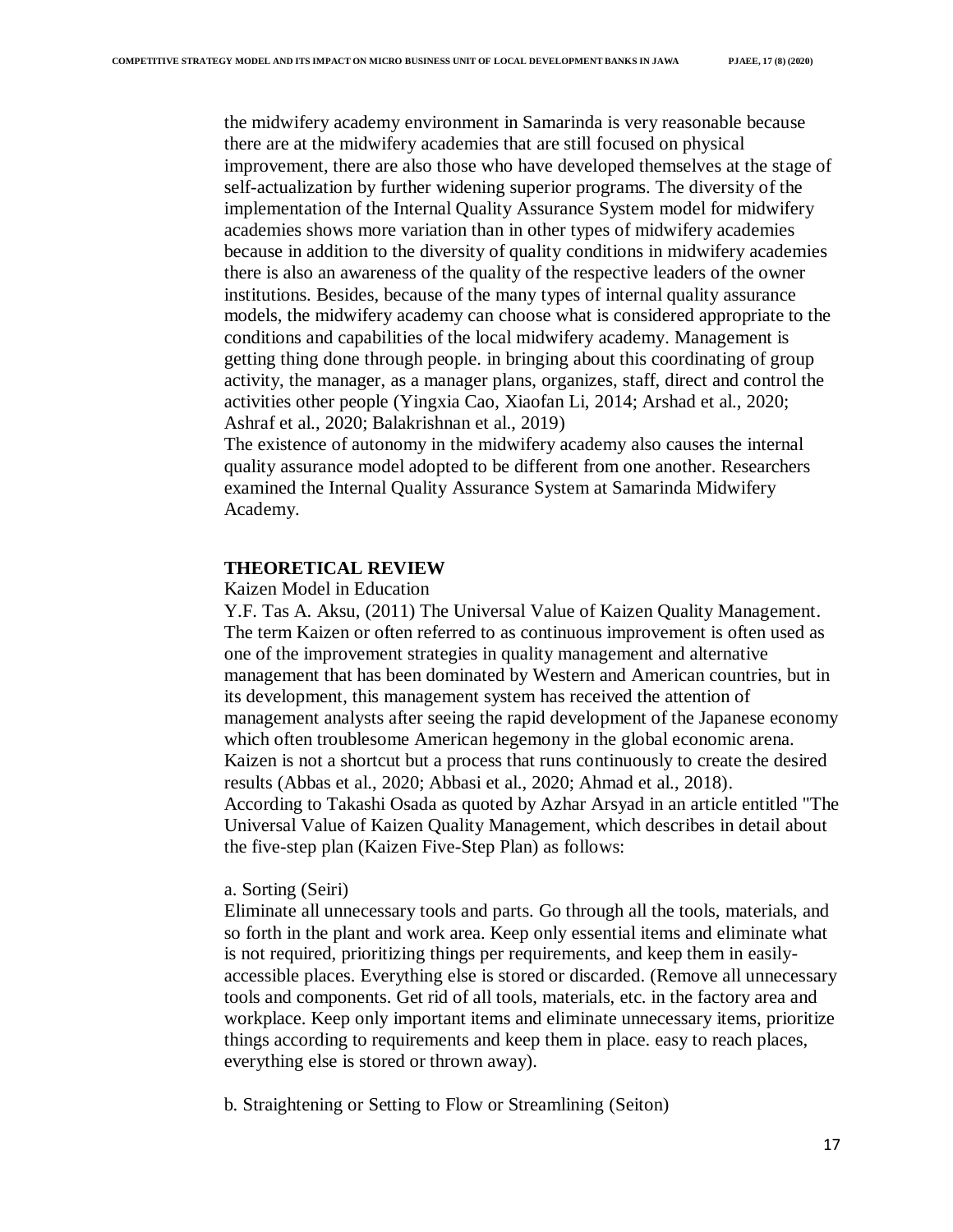the midwifery academy environment in Samarinda is very reasonable because there are at the midwifery academies that are still focused on physical improvement, there are also those who have developed themselves at the stage of self-actualization by further widening superior programs. The diversity of the implementation of the Internal Quality Assurance System model for midwifery academies shows more variation than in other types of midwifery academies because in addition to the diversity of quality conditions in midwifery academies there is also an awareness of the quality of the respective leaders of the owner institutions. Besides, because of the many types of internal quality assurance models, the midwifery academy can choose what is considered appropriate to the conditions and capabilities of the local midwifery academy. Management is getting thing done through people. in bringing about this coordinating of group activity, the manager, as a manager plans, organizes, staff, direct and control the activities other people (Yingxia Cao, Xiaofan Li, 2014; Arshad et al., 2020; Ashraf et al., 2020; Balakrishnan et al., 2019)

The existence of autonomy in the midwifery academy also causes the internal quality assurance model adopted to be different from one another. Researchers examined the Internal Quality Assurance System at Samarinda Midwifery Academy.

### **THEORETICAL REVIEW**

### Kaizen Model in Education

Y.F. Tas A. Aksu, (2011) The Universal Value of Kaizen Quality Management. The term Kaizen or often referred to as continuous improvement is often used as one of the improvement strategies in quality management and alternative management that has been dominated by Western and American countries, but in its development, this management system has received the attention of management analysts after seeing the rapid development of the Japanese economy which often troublesome American hegemony in the global economic arena. Kaizen is not a shortcut but a process that runs continuously to create the desired results (Abbas et al., 2020; Abbasi et al., 2020; Ahmad et al., 2018). According to Takashi Osada as quoted by Azhar Arsyad in an article entitled "The Universal Value of Kaizen Quality Management, which describes in detail about the five-step plan (Kaizen Five-Step Plan) as follows:

## a. Sorting (Seiri)

Eliminate all unnecessary tools and parts. Go through all the tools, materials, and so forth in the plant and work area. Keep only essential items and eliminate what is not required, prioritizing things per requirements, and keep them in easilyaccessible places. Everything else is stored or discarded. (Remove all unnecessary tools and components. Get rid of all tools, materials, etc. in the factory area and workplace. Keep only important items and eliminate unnecessary items, prioritize things according to requirements and keep them in place. easy to reach places, everything else is stored or thrown away).

b. Straightening or Setting to Flow or Streamlining (Seiton)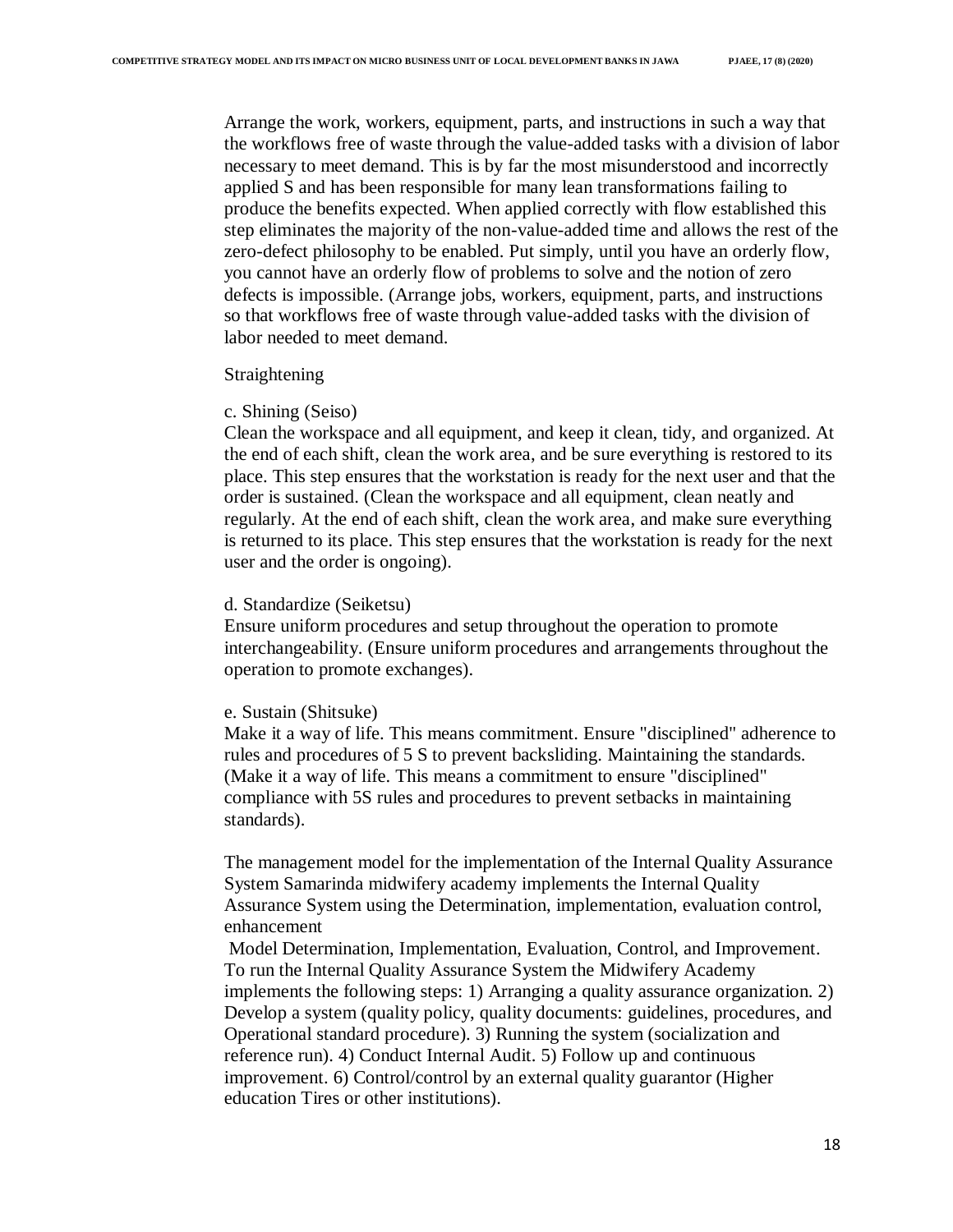Arrange the work, workers, equipment, parts, and instructions in such a way that the workflows free of waste through the value-added tasks with a division of labor necessary to meet demand. This is by far the most misunderstood and incorrectly applied S and has been responsible for many lean transformations failing to produce the benefits expected. When applied correctly with flow established this step eliminates the majority of the non-value-added time and allows the rest of the zero-defect philosophy to be enabled. Put simply, until you have an orderly flow, you cannot have an orderly flow of problems to solve and the notion of zero defects is impossible. (Arrange jobs, workers, equipment, parts, and instructions so that workflows free of waste through value-added tasks with the division of labor needed to meet demand.

#### Straightening

#### c. Shining (Seiso)

Clean the workspace and all equipment, and keep it clean, tidy, and organized. At the end of each shift, clean the work area, and be sure everything is restored to its place. This step ensures that the workstation is ready for the next user and that the order is sustained. (Clean the workspace and all equipment, clean neatly and regularly. At the end of each shift, clean the work area, and make sure everything is returned to its place. This step ensures that the workstation is ready for the next user and the order is ongoing).

#### d. Standardize (Seiketsu)

Ensure uniform procedures and setup throughout the operation to promote interchangeability. (Ensure uniform procedures and arrangements throughout the operation to promote exchanges).

#### e. Sustain (Shitsuke)

Make it a way of life. This means commitment. Ensure "disciplined" adherence to rules and procedures of 5 S to prevent backsliding. Maintaining the standards. (Make it a way of life. This means a commitment to ensure "disciplined" compliance with 5S rules and procedures to prevent setbacks in maintaining standards).

The management model for the implementation of the Internal Quality Assurance System Samarinda midwifery academy implements the Internal Quality Assurance System using the Determination, implementation, evaluation control, enhancement

Model Determination, Implementation, Evaluation, Control, and Improvement. To run the Internal Quality Assurance System the Midwifery Academy implements the following steps: 1) Arranging a quality assurance organization. 2) Develop a system (quality policy, quality documents: guidelines, procedures, and Operational standard procedure). 3) Running the system (socialization and reference run). 4) Conduct Internal Audit. 5) Follow up and continuous improvement. 6) Control/control by an external quality guarantor (Higher education Tires or other institutions).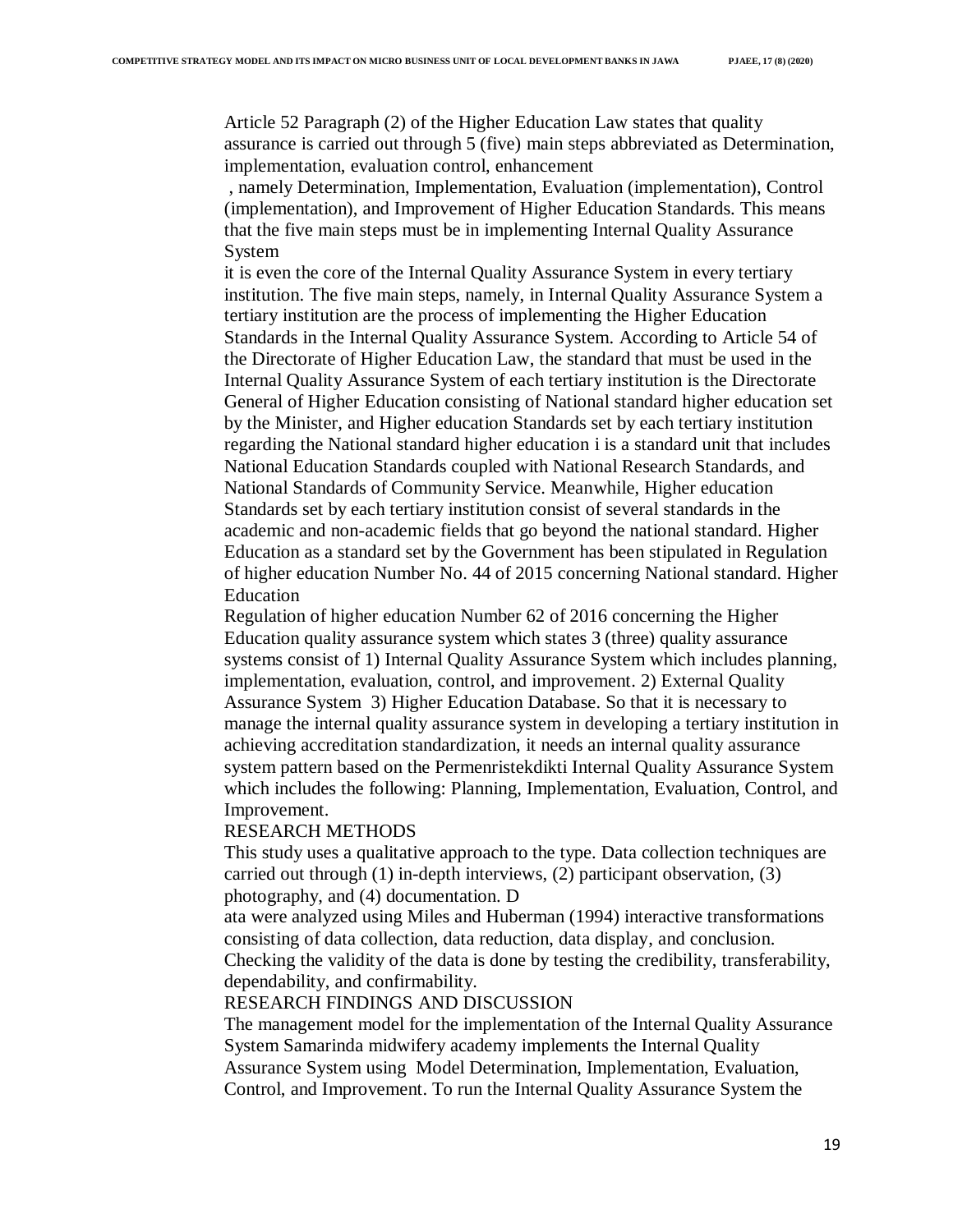Article 52 Paragraph (2) of the Higher Education Law states that quality assurance is carried out through 5 (five) main steps abbreviated as Determination, implementation, evaluation control, enhancement

, namely Determination, Implementation, Evaluation (implementation), Control (implementation), and Improvement of Higher Education Standards. This means that the five main steps must be in implementing Internal Quality Assurance System

it is even the core of the Internal Quality Assurance System in every tertiary institution. The five main steps, namely, in Internal Quality Assurance System a tertiary institution are the process of implementing the Higher Education Standards in the Internal Quality Assurance System. According to Article 54 of the Directorate of Higher Education Law, the standard that must be used in the Internal Quality Assurance System of each tertiary institution is the Directorate General of Higher Education consisting of National standard higher education set by the Minister, and Higher education Standards set by each tertiary institution regarding the National standard higher education i is a standard unit that includes National Education Standards coupled with National Research Standards, and National Standards of Community Service. Meanwhile, Higher education Standards set by each tertiary institution consist of several standards in the academic and non-academic fields that go beyond the national standard. Higher Education as a standard set by the Government has been stipulated in Regulation of higher education Number No. 44 of 2015 concerning National standard. Higher Education

Regulation of higher education Number 62 of 2016 concerning the Higher Education quality assurance system which states 3 (three) quality assurance systems consist of 1) Internal Quality Assurance System which includes planning, implementation, evaluation, control, and improvement. 2) External Quality Assurance System 3) Higher Education Database. So that it is necessary to manage the internal quality assurance system in developing a tertiary institution in achieving accreditation standardization, it needs an internal quality assurance system pattern based on the Permenristekdikti Internal Quality Assurance System which includes the following: Planning, Implementation, Evaluation, Control, and Improvement.

#### RESEARCH METHODS

This study uses a qualitative approach to the type. Data collection techniques are carried out through (1) in-depth interviews, (2) participant observation, (3) photography, and (4) documentation. D

ata were analyzed using Miles and Huberman (1994) interactive transformations consisting of data collection, data reduction, data display, and conclusion. Checking the validity of the data is done by testing the credibility, transferability, dependability, and confirmability.

#### RESEARCH FINDINGS AND DISCUSSION

The management model for the implementation of the Internal Quality Assurance System Samarinda midwifery academy implements the Internal Quality Assurance System using Model Determination, Implementation, Evaluation, Control, and Improvement. To run the Internal Quality Assurance System the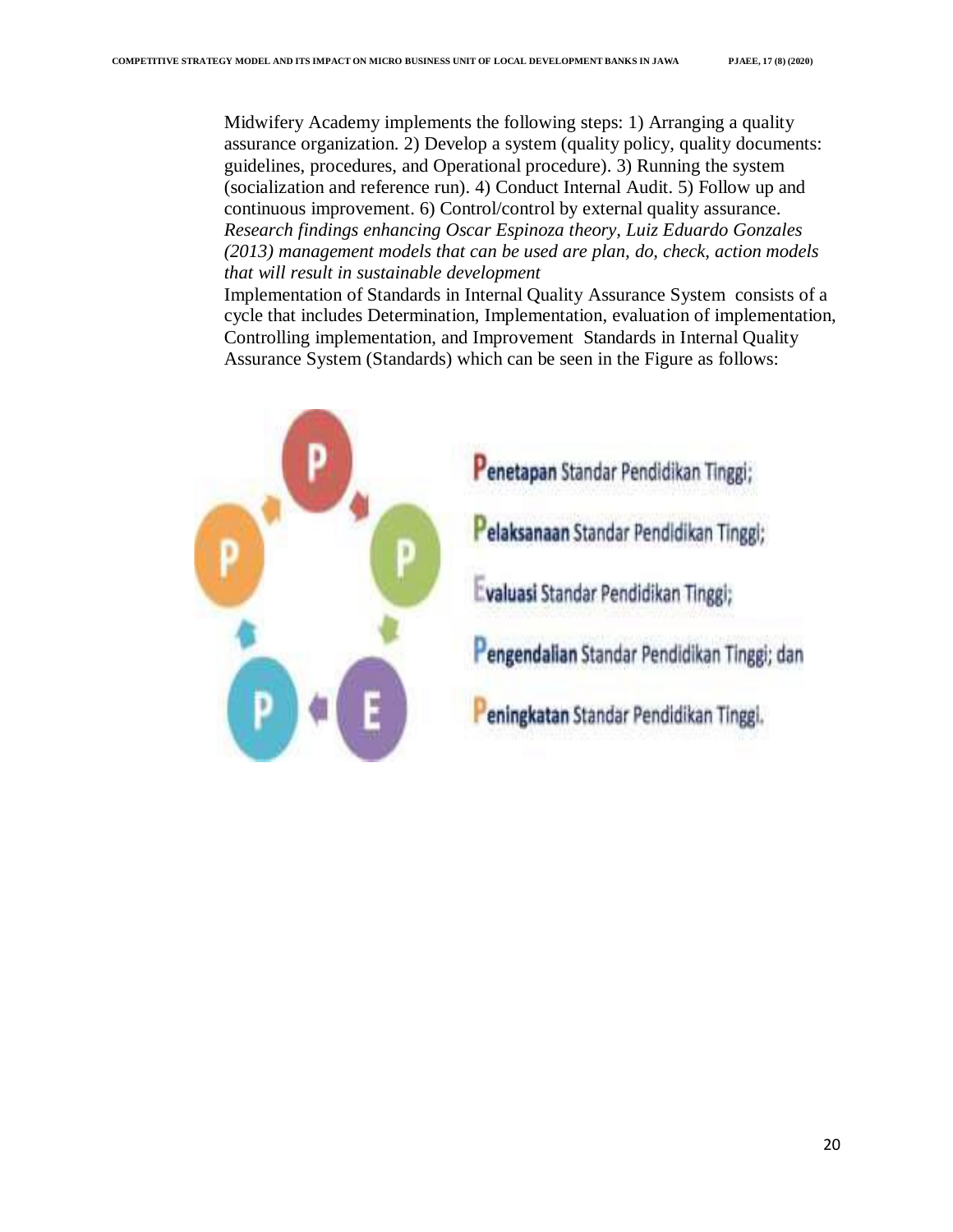Midwifery Academy implements the following steps: 1) Arranging a quality assurance organization. 2) Develop a system (quality policy, quality documents: guidelines, procedures, and Operational procedure). 3) Running the system (socialization and reference run). 4) Conduct Internal Audit. 5) Follow up and continuous improvement. 6) Control/control by external quality assurance. *Research findings enhancing Oscar Espinoza theory, Luiz Eduardo Gonzales (2013) management models that can be used are plan, do, check, action models that will result in sustainable development*

Implementation of Standards in Internal Quality Assurance System consists of a cycle that includes Determination, Implementation, evaluation of implementation, Controlling implementation, and Improvement Standards in Internal Quality Assurance System (Standards) which can be seen in the Figure as follows:

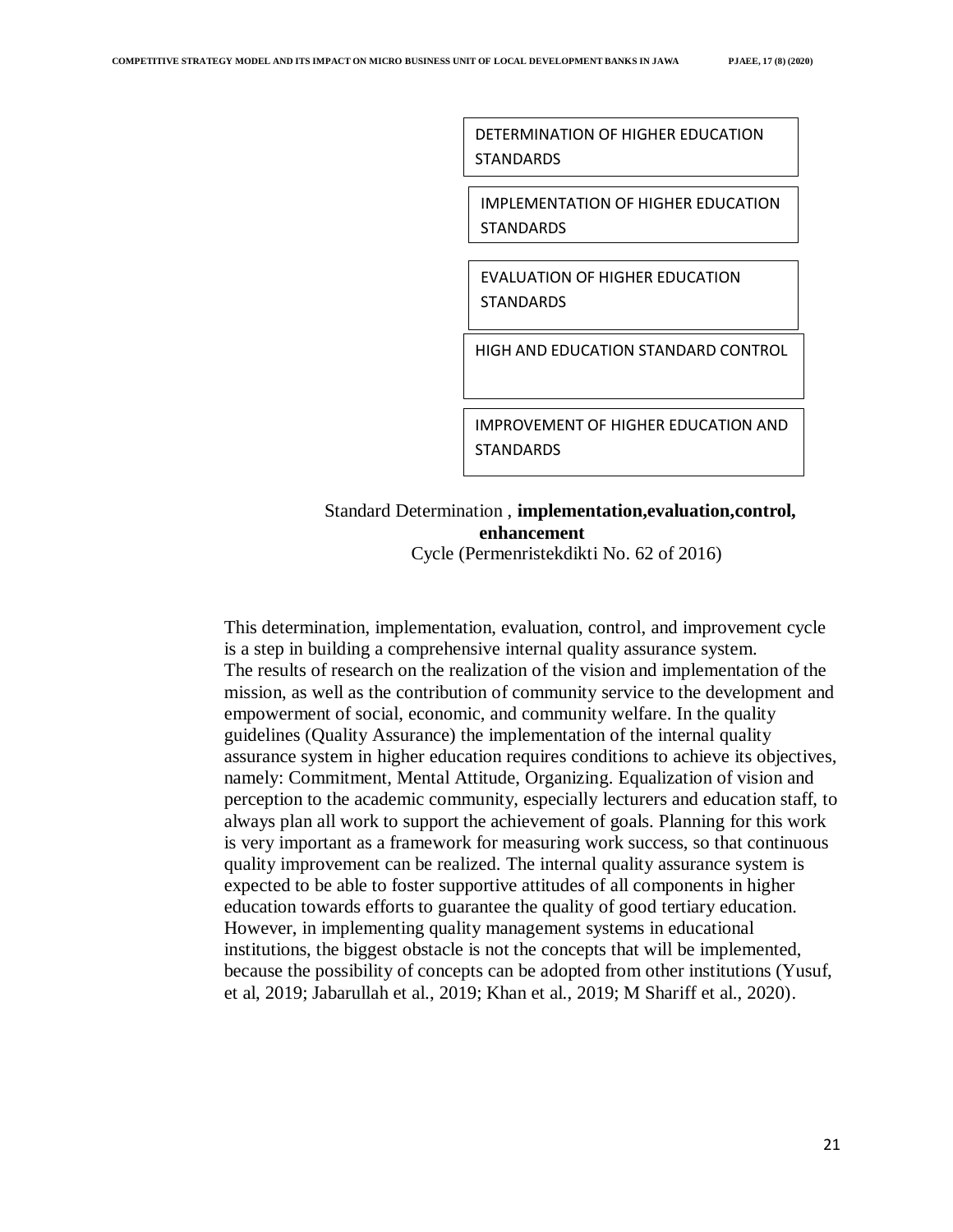DETERMINATION OF HIGHER EDUCATION STANDARDS

IMPLEMENTATION OF HIGHER EDUCATION **STANDARDS** 

EVALUATION OF HIGHER EDUCATION **STANDARDS** 

HIGH AND EDUCATION STANDARD CONTROL

IMPROVEMENT OF HIGHER EDUCATION AND **STANDARDS** 

# Standard Determination , **implementation,evaluation,control, enhancement**

Cycle (Permenristekdikti No. 62 of 2016)

This determination, implementation, evaluation, control, and improvement cycle is a step in building a comprehensive internal quality assurance system. The results of research on the realization of the vision and implementation of the mission, as well as the contribution of community service to the development and empowerment of social, economic, and community welfare. In the quality guidelines (Quality Assurance) the implementation of the internal quality assurance system in higher education requires conditions to achieve its objectives, namely: Commitment, Mental Attitude, Organizing. Equalization of vision and perception to the academic community, especially lecturers and education staff, to always plan all work to support the achievement of goals. Planning for this work is very important as a framework for measuring work success, so that continuous quality improvement can be realized. The internal quality assurance system is expected to be able to foster supportive attitudes of all components in higher education towards efforts to guarantee the quality of good tertiary education. However, in implementing quality management systems in educational institutions, the biggest obstacle is not the concepts that will be implemented, because the possibility of concepts can be adopted from other institutions (Yusuf, et al, 2019; Jabarullah et al., 2019; Khan et al., 2019; M Shariff et al., 2020).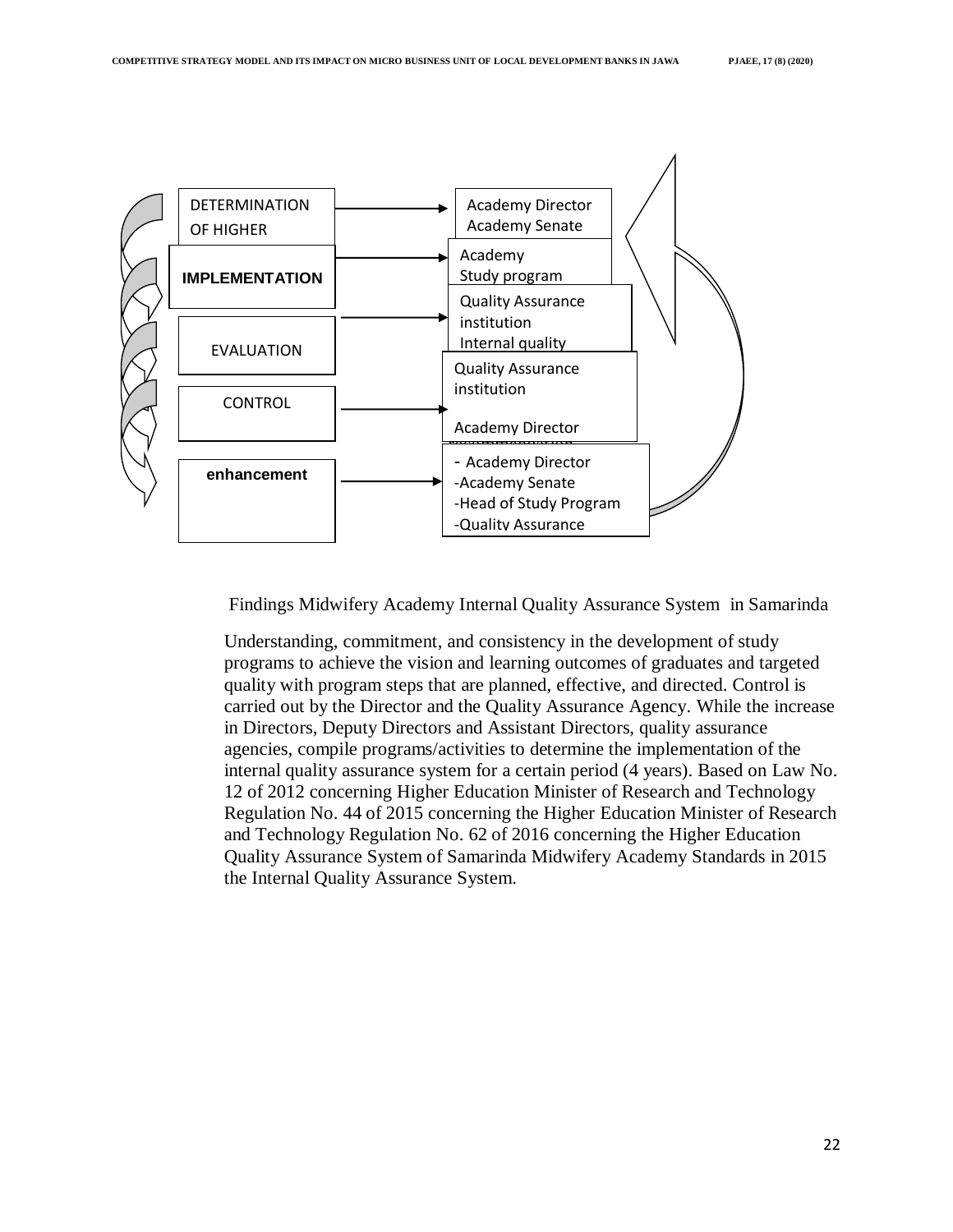

Findings Midwifery Academy Internal Quality Assurance System in Samarinda

Understanding, commitment, and consistency in the development of study programs to achieve the vision and learning outcomes of graduates and targeted quality with program steps that are planned, effective, and directed. Control is carried out by the Director and the Quality Assurance Agency. While the increase in Directors, Deputy Directors and Assistant Directors, quality assurance agencies, compile programs/activities to determine the implementation of the internal quality assurance system for a certain period (4 years). Based on Law No. 12 of 2012 concerning Higher Education Minister of Research and Technology Regulation No. 44 of 2015 concerning the Higher Education Minister of Research and Technology Regulation No. 62 of 2016 concerning the Higher Education Quality Assurance System of Samarinda Midwifery Academy Standards in 2015 the Internal Quality Assurance System.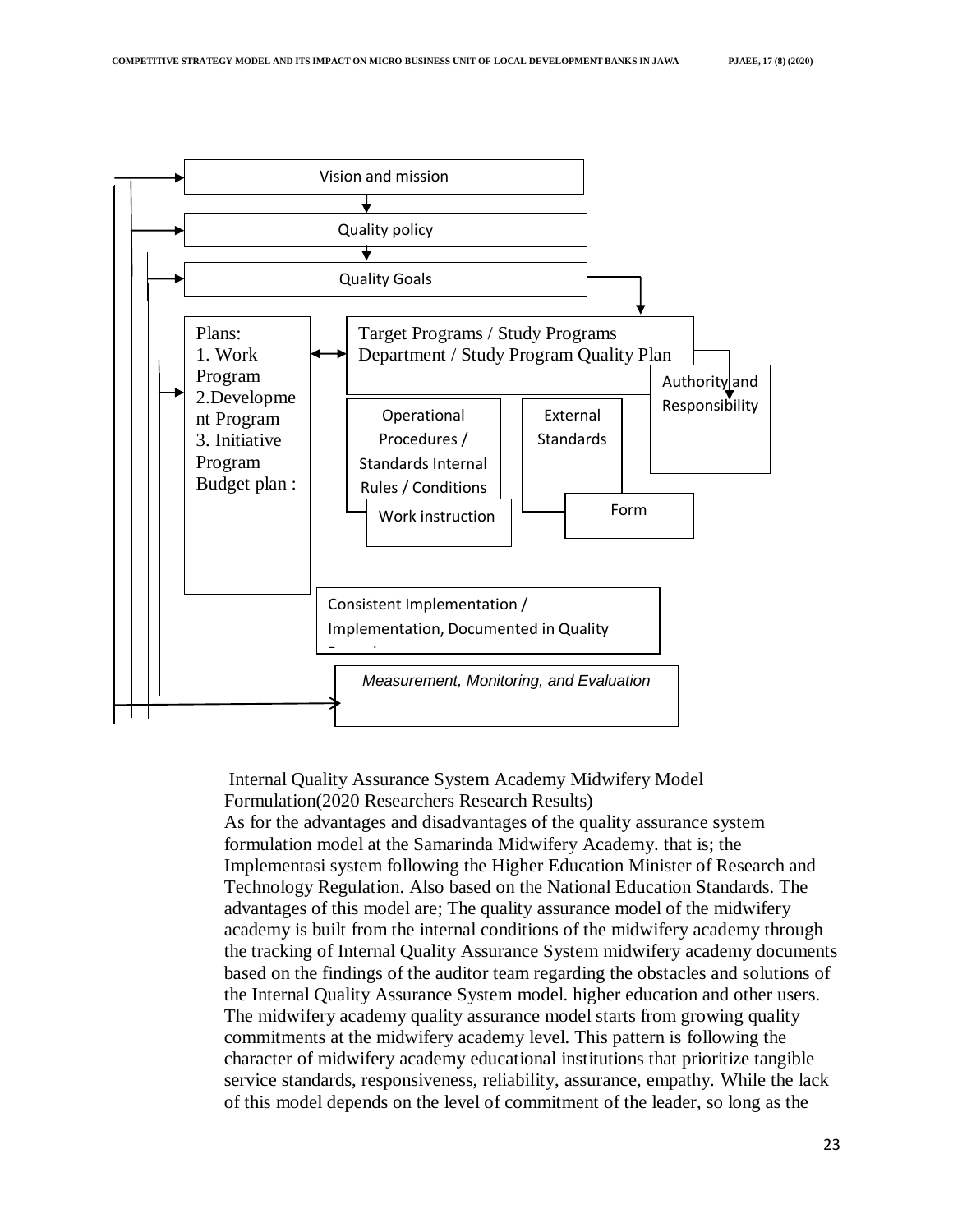

Internal Quality Assurance System Academy Midwifery Model Formulation(2020 Researchers Research Results) As for the advantages and disadvantages of the quality assurance system formulation model at the Samarinda Midwifery Academy. that is; the Implementasi system following the Higher Education Minister of Research and Technology Regulation. Also based on the National Education Standards. The advantages of this model are; The quality assurance model of the midwifery academy is built from the internal conditions of the midwifery academy through the tracking of Internal Quality Assurance System midwifery academy documents based on the findings of the auditor team regarding the obstacles and solutions of the Internal Quality Assurance System model. higher education and other users. The midwifery academy quality assurance model starts from growing quality commitments at the midwifery academy level. This pattern is following the character of midwifery academy educational institutions that prioritize tangible service standards, responsiveness, reliability, assurance, empathy. While the lack of this model depends on the level of commitment of the leader, so long as the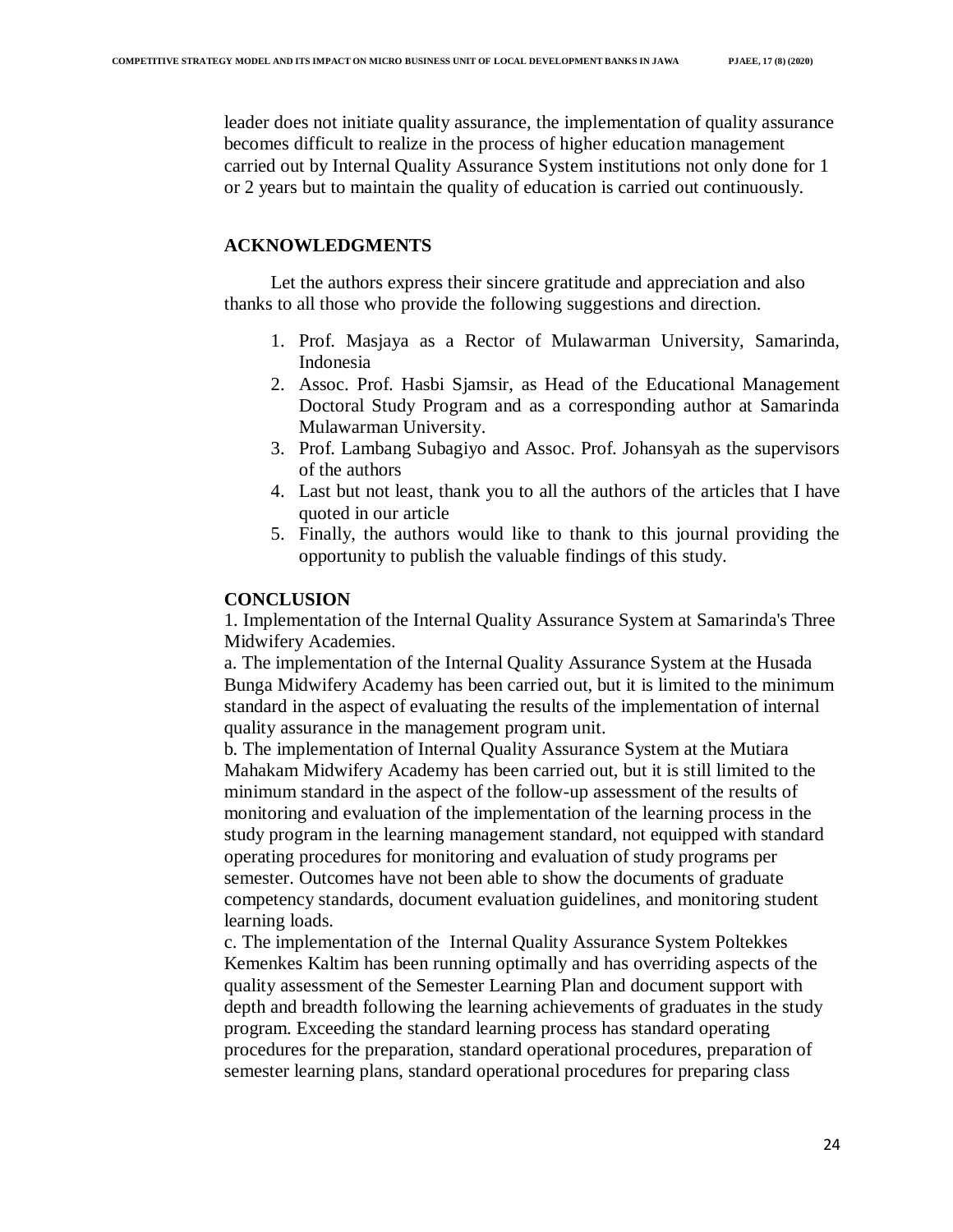## **ACKNOWLEDGMENTS**

Let the authors express their sincere gratitude and appreciation and also thanks to all those who provide the following suggestions and direction.

- 1. Prof. Masjaya as a Rector of Mulawarman University, Samarinda, Indonesia
- 2. Assoc. Prof. Hasbi Sjamsir, as Head of the Educational Management Doctoral Study Program and as a corresponding author at Samarinda Mulawarman University.
- 3. Prof. Lambang Subagiyo and Assoc. Prof. Johansyah as the supervisors of the authors
- 4. Last but not least, thank you to all the authors of the articles that I have quoted in our article
- 5. Finally, the authors would like to thank to this journal providing the opportunity to publish the valuable findings of this study.

### **CONCLUSION**

1. Implementation of the Internal Quality Assurance System at Samarinda's Three Midwifery Academies.

a. The implementation of the Internal Quality Assurance System at the Husada Bunga Midwifery Academy has been carried out, but it is limited to the minimum standard in the aspect of evaluating the results of the implementation of internal quality assurance in the management program unit.

b. The implementation of Internal Quality Assurance System at the Mutiara Mahakam Midwifery Academy has been carried out, but it is still limited to the minimum standard in the aspect of the follow-up assessment of the results of monitoring and evaluation of the implementation of the learning process in the study program in the learning management standard, not equipped with standard operating procedures for monitoring and evaluation of study programs per semester. Outcomes have not been able to show the documents of graduate competency standards, document evaluation guidelines, and monitoring student learning loads.

c. The implementation of the Internal Quality Assurance System Poltekkes Kemenkes Kaltim has been running optimally and has overriding aspects of the quality assessment of the Semester Learning Plan and document support with depth and breadth following the learning achievements of graduates in the study program. Exceeding the standard learning process has standard operating procedures for the preparation, standard operational procedures, preparation of semester learning plans, standard operational procedures for preparing class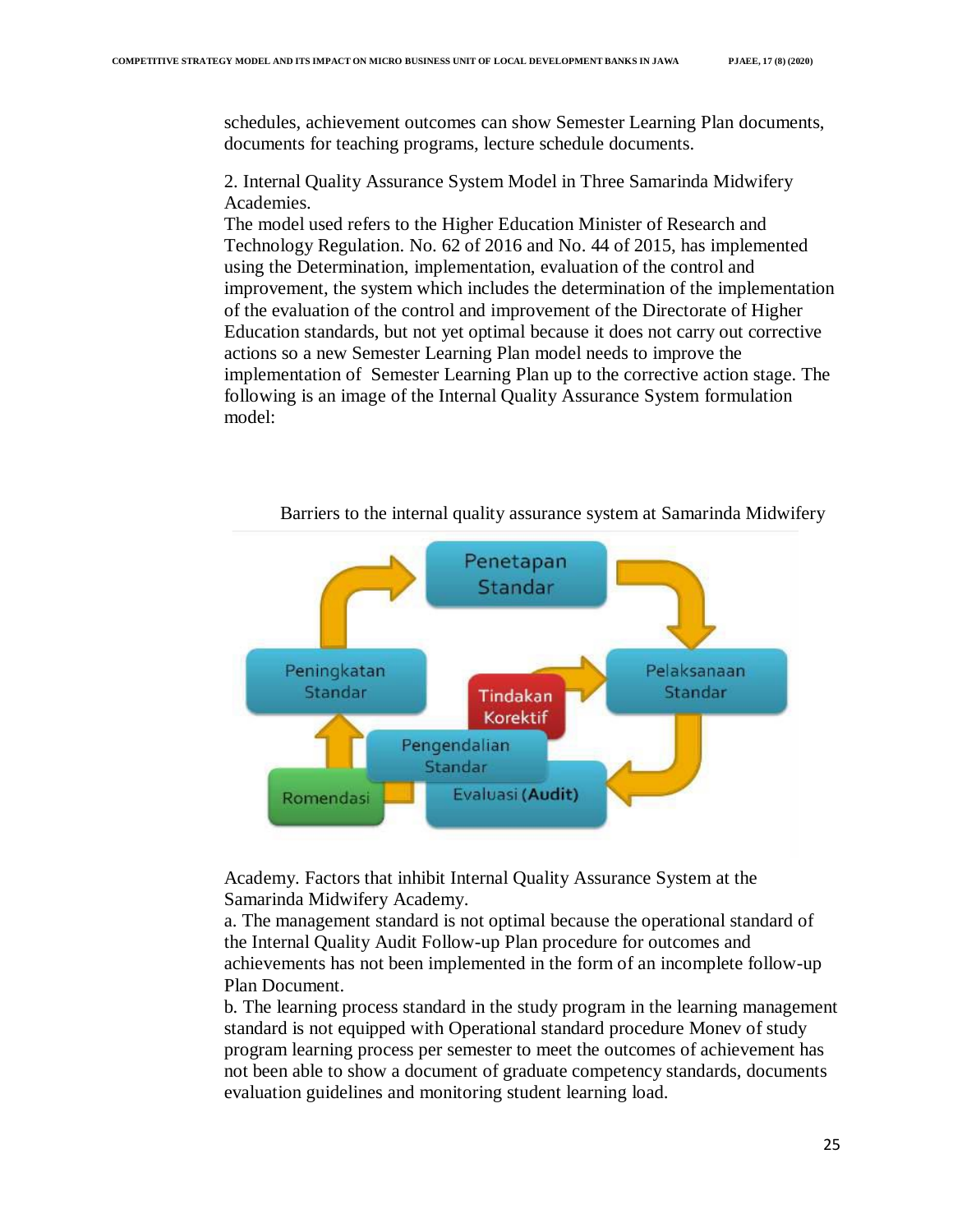schedules, achievement outcomes can show Semester Learning Plan documents, documents for teaching programs, lecture schedule documents.

2. Internal Quality Assurance System Model in Three Samarinda Midwifery Academies.

The model used refers to the Higher Education Minister of Research and Technology Regulation. No. 62 of 2016 and No. 44 of 2015, has implemented using the Determination, implementation, evaluation of the control and improvement, the system which includes the determination of the implementation of the evaluation of the control and improvement of the Directorate of Higher Education standards, but not yet optimal because it does not carry out corrective actions so a new Semester Learning Plan model needs to improve the implementation of Semester Learning Plan up to the corrective action stage. The following is an image of the Internal Quality Assurance System formulation model:



Barriers to the internal quality assurance system at Samarinda Midwifery

Academy. Factors that inhibit Internal Quality Assurance System at the Samarinda Midwifery Academy.

a. The management standard is not optimal because the operational standard of the Internal Quality Audit Follow-up Plan procedure for outcomes and achievements has not been implemented in the form of an incomplete follow-up Plan Document.

b. The learning process standard in the study program in the learning management standard is not equipped with Operational standard procedure Monev of study program learning process per semester to meet the outcomes of achievement has not been able to show a document of graduate competency standards, documents evaluation guidelines and monitoring student learning load.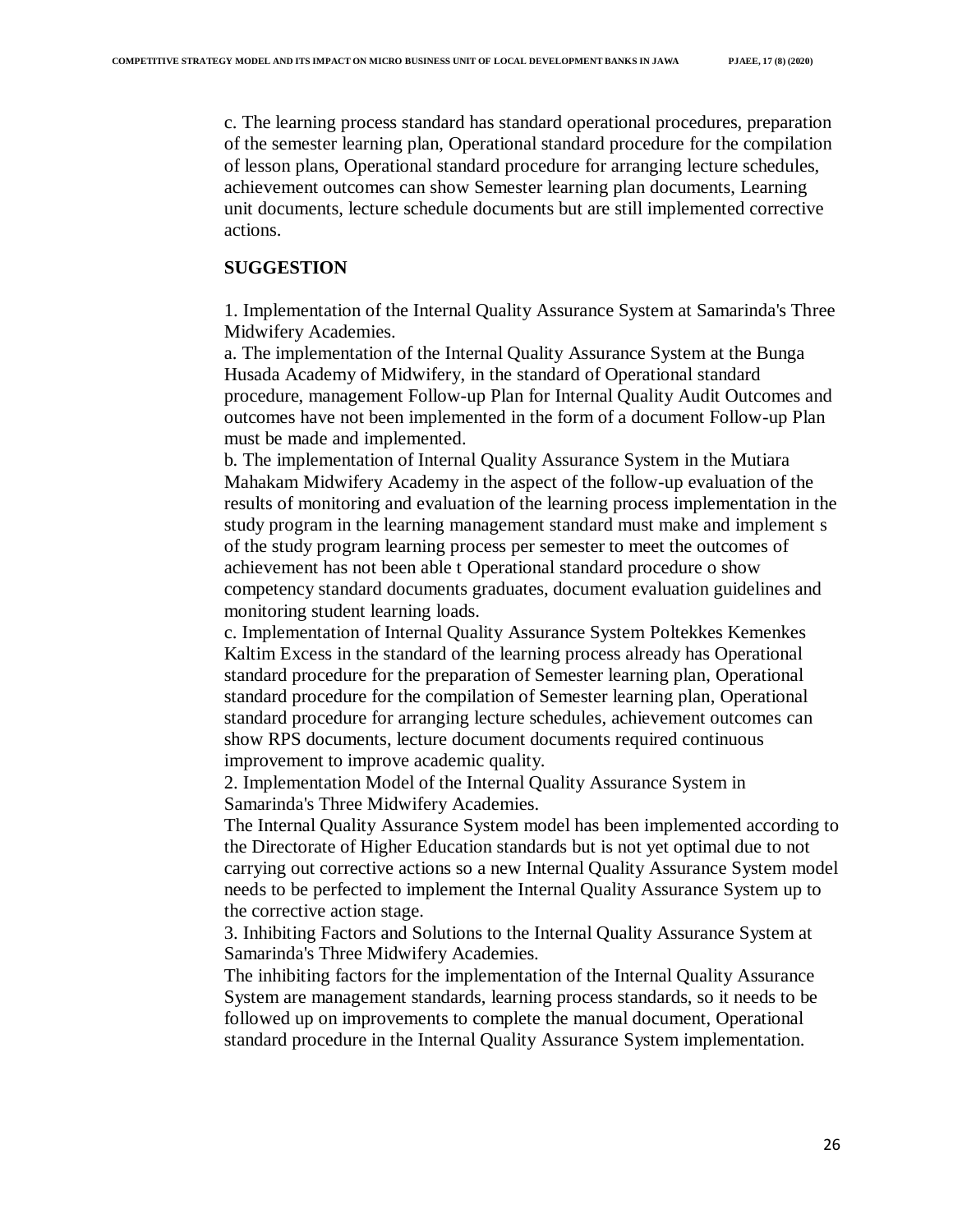c. The learning process standard has standard operational procedures, preparation of the semester learning plan, Operational standard procedure for the compilation of lesson plans, Operational standard procedure for arranging lecture schedules, achievement outcomes can show Semester learning plan documents, Learning unit documents, lecture schedule documents but are still implemented corrective actions.

### **SUGGESTION**

1. Implementation of the Internal Quality Assurance System at Samarinda's Three Midwifery Academies.

a. The implementation of the Internal Quality Assurance System at the Bunga Husada Academy of Midwifery, in the standard of Operational standard procedure, management Follow-up Plan for Internal Quality Audit Outcomes and outcomes have not been implemented in the form of a document Follow-up Plan must be made and implemented.

b. The implementation of Internal Quality Assurance System in the Mutiara Mahakam Midwifery Academy in the aspect of the follow-up evaluation of the results of monitoring and evaluation of the learning process implementation in the study program in the learning management standard must make and implement s of the study program learning process per semester to meet the outcomes of achievement has not been able t Operational standard procedure o show competency standard documents graduates, document evaluation guidelines and monitoring student learning loads.

c. Implementation of Internal Quality Assurance System Poltekkes Kemenkes Kaltim Excess in the standard of the learning process already has Operational standard procedure for the preparation of Semester learning plan, Operational standard procedure for the compilation of Semester learning plan, Operational standard procedure for arranging lecture schedules, achievement outcomes can show RPS documents, lecture document documents required continuous improvement to improve academic quality.

2. Implementation Model of the Internal Quality Assurance System in Samarinda's Three Midwifery Academies.

The Internal Quality Assurance System model has been implemented according to the Directorate of Higher Education standards but is not yet optimal due to not carrying out corrective actions so a new Internal Quality Assurance System model needs to be perfected to implement the Internal Quality Assurance System up to the corrective action stage.

3. Inhibiting Factors and Solutions to the Internal Quality Assurance System at Samarinda's Three Midwifery Academies.

The inhibiting factors for the implementation of the Internal Quality Assurance System are management standards, learning process standards, so it needs to be followed up on improvements to complete the manual document, Operational standard procedure in the Internal Quality Assurance System implementation.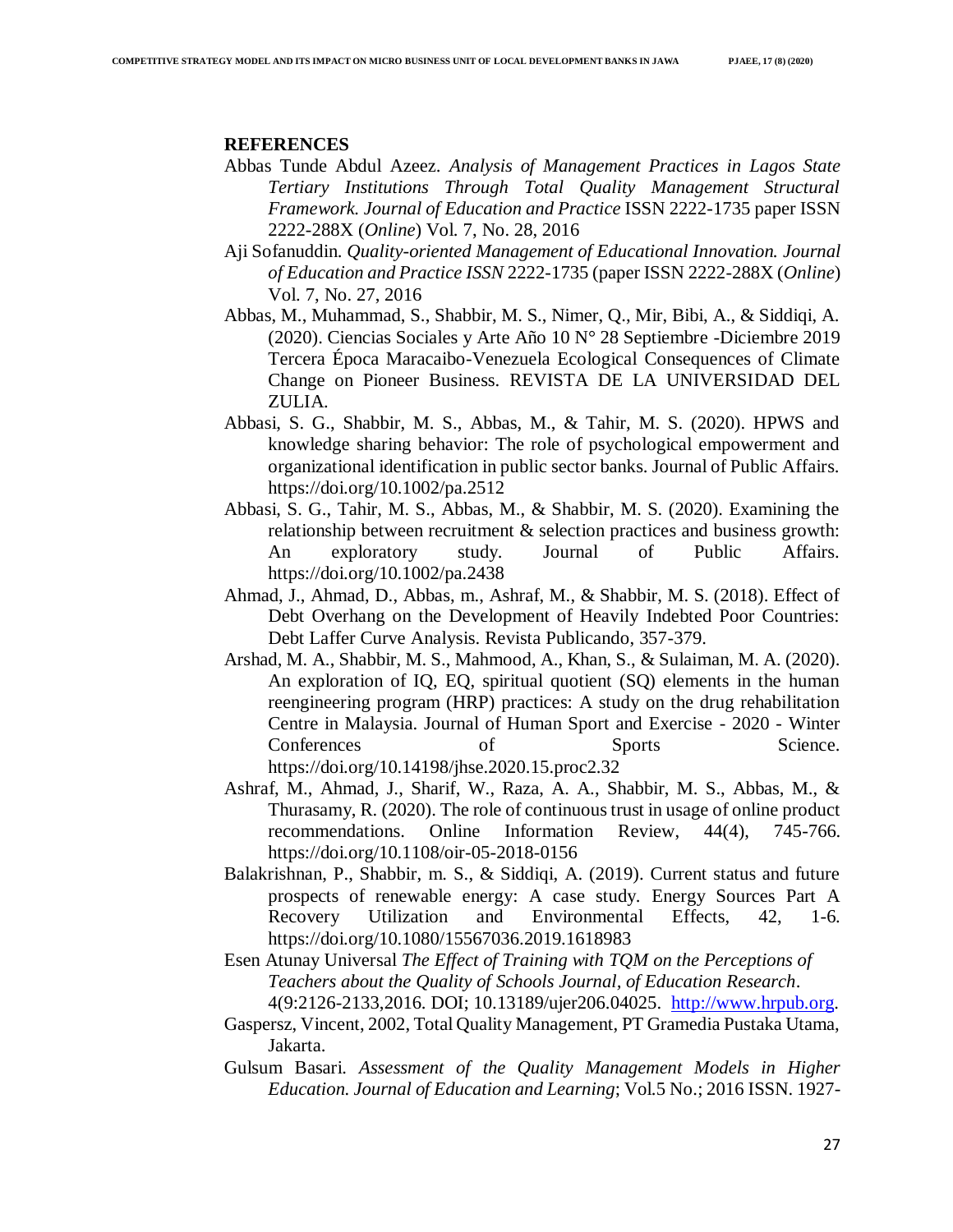#### **REFERENCES**

- Abbas Tunde Abdul Azeez. *Analysis of Management Practices in Lagos State Tertiary Institutions Through Total Quality Management Structural Framework. Journal of Education and Practice* ISSN 2222-1735 paper ISSN 2222-288X (*Online*) Vol. 7, No. 28, 2016
- Aji Sofanuddin. *Quality-oriented Management of Educational Innovation. Journal of Education and Practice ISSN* 2222-1735 (paper ISSN 2222-288X (*Online*) Vol. 7, No. 27, 2016
- Abbas, M., Muhammad, S., Shabbir, M. S., Nimer, Q., Mir, Bibi, A., & Siddiqi, A. (2020). Ciencias Sociales y Arte Año 10 N° 28 Septiembre -Diciembre 2019 Tercera Época Maracaibo-Venezuela Ecological Consequences of Climate Change on Pioneer Business. REVISTA DE LA UNIVERSIDAD DEL ZULIA.
- Abbasi, S. G., Shabbir, M. S., Abbas, M., & Tahir, M. S. (2020). HPWS and knowledge sharing behavior: The role of psychological empowerment and organizational identification in public sector banks. Journal of Public Affairs. https://doi.org/10.1002/pa.2512
- Abbasi, S. G., Tahir, M. S., Abbas, M., & Shabbir, M. S. (2020). Examining the relationship between recruitment & selection practices and business growth: An exploratory study. Journal of Public Affairs. https://doi.org/10.1002/pa.2438
- Ahmad, J., Ahmad, D., Abbas, m., Ashraf, M., & Shabbir, M. S. (2018). Effect of Debt Overhang on the Development of Heavily Indebted Poor Countries: Debt Laffer Curve Analysis. Revista Publicando, 357-379.
- Arshad, M. A., Shabbir, M. S., Mahmood, A., Khan, S., & Sulaiman, M. A. (2020). An exploration of IQ, EQ, spiritual quotient (SQ) elements in the human reengineering program (HRP) practices: A study on the drug rehabilitation Centre in Malaysia. Journal of Human Sport and Exercise - 2020 - Winter Conferences of Sports Science. https://doi.org/10.14198/jhse.2020.15.proc2.32
- Ashraf, M., Ahmad, J., Sharif, W., Raza, A. A., Shabbir, M. S., Abbas, M., & Thurasamy, R. (2020). The role of continuous trust in usage of online product recommendations. Online Information Review, 44(4), 745-766. https://doi.org/10.1108/oir-05-2018-0156
- Balakrishnan, P., Shabbir, m. S., & Siddiqi, A. (2019). Current status and future prospects of renewable energy: A case study. Energy Sources Part A Recovery Utilization and Environmental Effects, 42, 1-6. https://doi.org/10.1080/15567036.2019.1618983
- Esen Atunay Universal *The Effect of Training with TQM on the Perceptions of Teachers about the Quality of Schools Journal, of Education Research*. 4(9:2126-2133,2016. DOI; 10.13189/ujer206.04025. [http://www.hrpub.org.](http://www.hrpub.org/)
- Gaspersz, Vincent, 2002, Total Quality Management, PT Gramedia Pustaka Utama, Jakarta.
- Gulsum Basari. *Assessment of the Quality Management Models in Higher Education. Journal of Education and Learning*; Vol.5 No.; 2016 ISSN. 1927-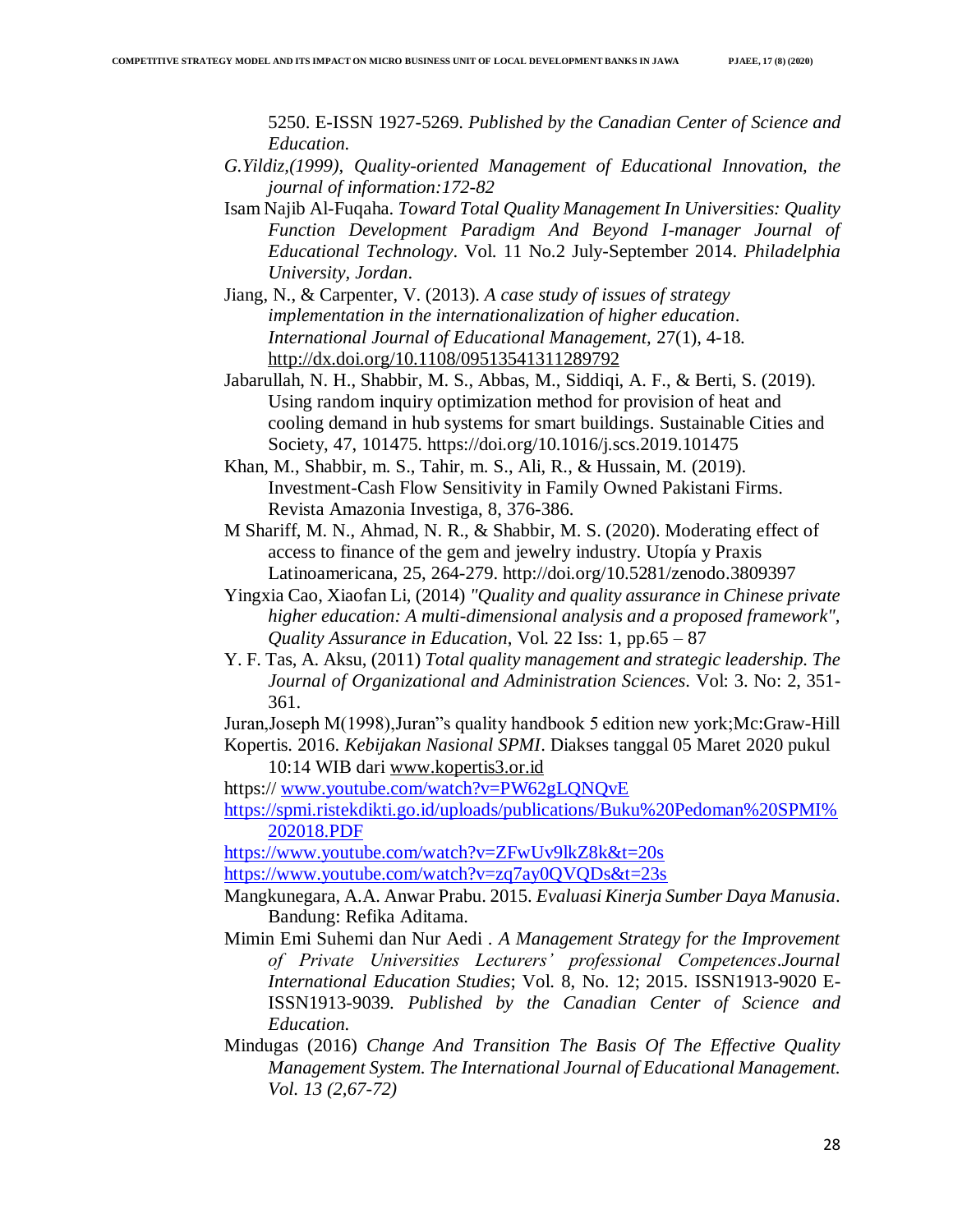5250. E-ISSN 1927-5269. *Published by the Canadian Center of Science and Education.*

- *G.Yildiz,(1999), Quality-oriented Management of Educational Innovation, the journal of information:172-82*
- Isam Najib Al-Fuqaha. *Toward Total Quality Management In Universities: Quality Function Development Paradigm And Beyond I-manager Journal of Educational Technology*. Vol. 11 No.2 July-September 2014. *Philadelphia University, Jordan*.
- Jiang, N., & Carpenter, V. (2013). *A case study of issues of strategy implementation in the internationalization of higher education*. *International Journal of Educational Management,* 27(1), 4-18. <http://dx.doi.org/10.1108/09513541311289792>
- Jabarullah, N. H., Shabbir, M. S., Abbas, M., Siddiqi, A. F., & Berti, S. (2019). Using random inquiry optimization method for provision of heat and cooling demand in hub systems for smart buildings. Sustainable Cities and Society, 47, 101475. https://doi.org/10.1016/j.scs.2019.101475
- Khan, M., Shabbir, m. S., Tahir, m. S., Ali, R., & Hussain, M. (2019). Investment-Cash Flow Sensitivity in Family Owned Pakistani Firms. Revista Amazonia Investiga, 8, 376-386.
- M Shariff, M. N., Ahmad, N. R., & Shabbir, M. S. (2020). Moderating effect of access to finance of the gem and jewelry industry. Utopía y Praxis Latinoamericana, 25, 264-279. http://doi.org/10.5281/zenodo.3809397
- Yingxia Cao, Xiaofan Li, (2014) *"Quality and quality assurance in Chinese private higher education: A multi-dimensional analysis and a proposed framework", Quality Assurance in Education*, Vol. 22 Iss: 1, pp.65 – 87
- Y. F. Tas, A. Aksu, (2011) *Total quality management and strategic leadership. The Journal of Organizational and Administration Sciences*. Vol: 3. No: 2, 351- 361.
- Juran,Joseph M(1998),Juran"s quality handbook 5 edition new york;Mc:Graw-Hill Kopertis. 2016. *Kebijakan Nasional SPMI*. Diakses tanggal 05 Maret 2020 pukul
	- 10:14 WIB dari [www.kopertis3.or.id](http://www.kopertis3.or.id/)
- https:// [www.youtube.com/watch?v=PW62gLQNQvE](http://www.youtube.com/watch?v=PW62gLQNQvE)

[https://spmi.ristekdikti.go.id/uploads/publications/Buku%20Pedoman%20SPMI%](https://spmi.ristekdikti.go.id/uploads/publications/Buku%20Pedoman%20SPMI%202018.PDF) [202018.PDF](https://spmi.ristekdikti.go.id/uploads/publications/Buku%20Pedoman%20SPMI%202018.PDF)

<https://www.youtube.com/watch?v=ZFwUv9lkZ8k&t=20s> <https://www.youtube.com/watch?v=zq7ay0QVQDs&t=23s>

- Mangkunegara, A.A. Anwar Prabu. 2015. *Evaluasi Kinerja Sumber Daya Manusia*. Bandung: Refika Aditama.
- Mimin Emi Suhemi dan Nur Aedi . *A Management Strategy for the Improvement of Private Universities Lecturers' professional Competences*.*Journal International Education Studies*; Vol. 8, No. 12; 2015. ISSN1913-9020 E-ISSN1913-9039. *Published by the Canadian Center of Science and Education.*
- Mindugas (2016) *Change And Transition The Basis Of The Effective Quality Management System. The International Journal of Educational Management. Vol. 13 (2,67-72)*